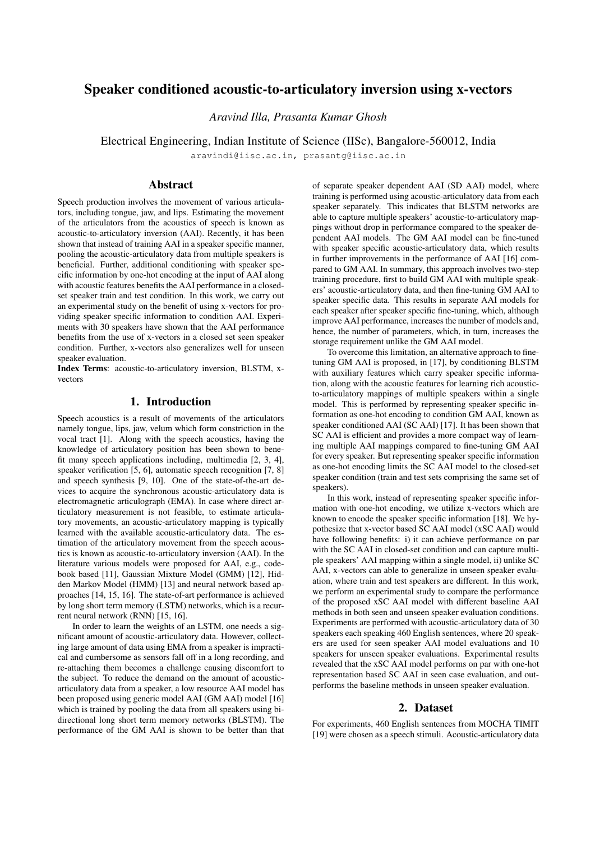# Speaker conditioned acoustic-to-articulatory inversion using x-vectors

*Aravind Illa, Prasanta Kumar Ghosh*

Electrical Engineering, Indian Institute of Science (IISc), Bangalore-560012, India

aravindi@iisc.ac.in, prasantg@iisc.ac.in

# Abstract

Speech production involves the movement of various articulators, including tongue, jaw, and lips. Estimating the movement of the articulators from the acoustics of speech is known as acoustic-to-articulatory inversion (AAI). Recently, it has been shown that instead of training AAI in a speaker specific manner, pooling the acoustic-articulatory data from multiple speakers is beneficial. Further, additional conditioning with speaker specific information by one-hot encoding at the input of AAI along with acoustic features benefits the AAI performance in a closedset speaker train and test condition. In this work, we carry out an experimental study on the benefit of using x-vectors for providing speaker specific information to condition AAI. Experiments with 30 speakers have shown that the AAI performance benefits from the use of x-vectors in a closed set seen speaker condition. Further, x-vectors also generalizes well for unseen speaker evaluation.

Index Terms: acoustic-to-articulatory inversion, BLSTM, xvectors

# 1. Introduction

Speech acoustics is a result of movements of the articulators namely tongue, lips, jaw, velum which form constriction in the vocal tract [1]. Along with the speech acoustics, having the knowledge of articulatory position has been shown to benefit many speech applications including, multimedia [2, 3, 4], speaker verification [5, 6], automatic speech recognition [7, 8] and speech synthesis [9, 10]. One of the state-of-the-art devices to acquire the synchronous acoustic-articulatory data is electromagnetic articulograph (EMA). In case where direct articulatory measurement is not feasible, to estimate articulatory movements, an acoustic-articulatory mapping is typically learned with the available acoustic-articulatory data. The estimation of the articulatory movement from the speech acoustics is known as acoustic-to-articulatory inversion (AAI). In the literature various models were proposed for AAI, e.g., codebook based [11], Gaussian Mixture Model (GMM) [12], Hidden Markov Model (HMM) [13] and neural network based approaches [14, 15, 16]. The state-of-art performance is achieved by long short term memory (LSTM) networks, which is a recurrent neural network (RNN) [15, 16].

In order to learn the weights of an LSTM, one needs a significant amount of acoustic-articulatory data. However, collecting large amount of data using EMA from a speaker is impractical and cumbersome as sensors fall off in a long recording, and re-attaching them becomes a challenge causing discomfort to the subject. To reduce the demand on the amount of acousticarticulatory data from a speaker, a low resource AAI model has been proposed using generic model AAI (GM AAI) model [16] which is trained by pooling the data from all speakers using bidirectional long short term memory networks (BLSTM). The performance of the GM AAI is shown to be better than that

of separate speaker dependent AAI (SD AAI) model, where training is performed using acoustic-articulatory data from each speaker separately. This indicates that BLSTM networks are able to capture multiple speakers' acoustic-to-articulatory mappings without drop in performance compared to the speaker dependent AAI models. The GM AAI model can be fine-tuned with speaker specific acoustic-articulatory data, which results in further improvements in the performance of AAI [16] compared to GM AAI. In summary, this approach involves two-step training procedure, first to build GM AAI with multiple speakers' acoustic-articulatory data, and then fine-tuning GM AAI to speaker specific data. This results in separate AAI models for each speaker after speaker specific fine-tuning, which, although improve AAI performance, increases the number of models and, hence, the number of parameters, which, in turn, increases the storage requirement unlike the GM AAI model.

To overcome this limitation, an alternative approach to finetuning GM AAI is proposed, in [17], by conditioning BLSTM with auxiliary features which carry speaker specific information, along with the acoustic features for learning rich acousticto-articulatory mappings of multiple speakers within a single model. This is performed by representing speaker specific information as one-hot encoding to condition GM AAI, known as speaker conditioned AAI (SC AAI) [17]. It has been shown that SC AAI is efficient and provides a more compact way of learning multiple AAI mappings compared to fine-tuning GM AAI for every speaker. But representing speaker specific information as one-hot encoding limits the SC AAI model to the closed-set speaker condition (train and test sets comprising the same set of speakers).

In this work, instead of representing speaker specific information with one-hot encoding, we utilize x-vectors which are known to encode the speaker specific information [18]. We hypothesize that x-vector based SC AAI model (xSC AAI) would have following benefits: i) it can achieve performance on par with the SC AAI in closed-set condition and can capture multiple speakers' AAI mapping within a single model, ii) unlike SC AAI, x-vectors can able to generalize in unseen speaker evaluation, where train and test speakers are different. In this work, we perform an experimental study to compare the performance of the proposed xSC AAI model with different baseline AAI methods in both seen and unseen speaker evaluation conditions. Experiments are performed with acoustic-articulatory data of 30 speakers each speaking 460 English sentences, where 20 speakers are used for seen speaker AAI model evaluations and 10 speakers for unseen speaker evaluations. Experimental results revealed that the xSC AAI model performs on par with one-hot representation based SC AAI in seen case evaluation, and outperforms the baseline methods in unseen speaker evaluation.

#### 2. Dataset

For experiments, 460 English sentences from MOCHA TIMIT [19] were chosen as a speech stimuli. Acoustic-articulatory data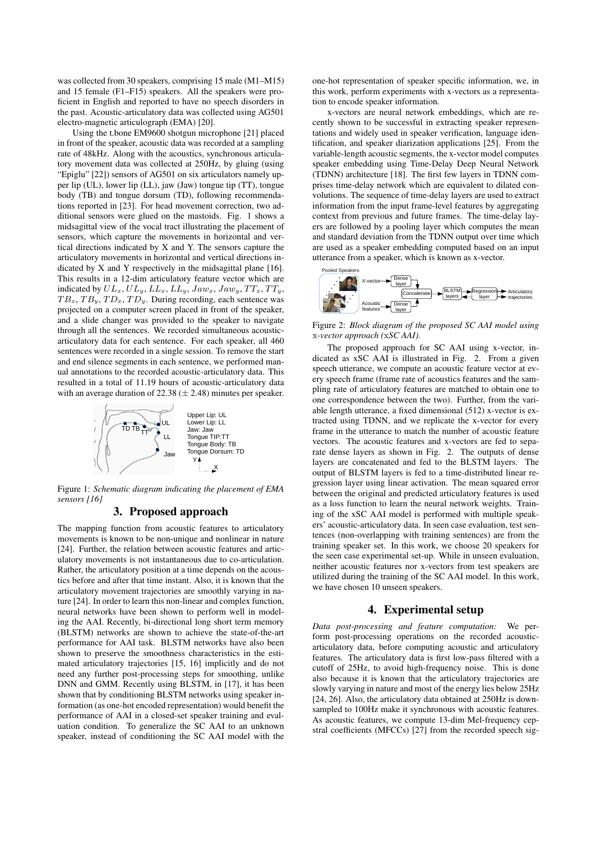was collected from 30 speakers, comprising 15 male (M1–M15) and 15 female (F1–F15) speakers. All the speakers were proficient in English and reported to have no speech disorders in the past. Acoustic-articulatory data was collected using AG501 electro-magnetic articulograph (EMA) [20].

Using the t.bone EM9600 shotgun microphone [21] placed in front of the speaker, acoustic data was recorded at a sampling rate of 48kHz. Along with the acoustics, synchronous articulatory movement data was collected at 250Hz, by gluing (using "Epiglu" [22]) sensors of AG501 on six articulators namely upper lip (UL), lower lip (LL), jaw (Jaw) tongue tip (TT), tongue body (TB) and tongue dorsum (TD), following recommendations reported in [23]. For head movement correction, two additional sensors were glued on the mastoids. Fig. 1 shows a midsagittal view of the vocal tract illustrating the placement of sensors, which capture the movements in horizontal and vertical directions indicated by X and Y. The sensors capture the articulatory movements in horizontal and vertical directions indicated by X and Y respectively in the midsagittal plane [16]. This results in a 12-dim articulatory feature vector which are indicated by  $UL_x, UL_y, LL_x, LL_y, Jaw_x, Jaw_y, TT_x, TT_y,$  $TB_x, TB_y, TD_x, TD_y$ . During recording, each sentence was projected on a computer screen placed in front of the speaker, and a slide changer was provided to the speaker to navigate through all the sentences. We recorded simultaneous acousticarticulatory data for each sentence. For each speaker, all 460 sentences were recorded in a single session. To remove the start and end silence segments in each sentence, we performed manual annotations to the recorded acoustic-articulatory data. This resulted in a total of 11.19 hours of acoustic-articulatory data with an average duration of 22.38 ( $\pm$  2.48) minutes per speaker.



Figure 1: *Schematic diagram indicating the placement of EMA sensors [16]*

# 3. Proposed approach

The mapping function from acoustic features to articulatory movements is known to be non-unique and nonlinear in nature [24]. Further, the relation between acoustic features and articulatory movements is not instantaneous due to co-articulation. Rather, the articulatory position at a time depends on the acoustics before and after that time instant. Also, it is known that the articulatory movement trajectories are smoothly varying in nature [24]. In order to learn this non-linear and complex function, neural networks have been shown to perform well in modeling the AAI. Recently, bi-directional long short term memory (BLSTM) networks are shown to achieve the state-of-the-art performance for AAI task. BLSTM networks have also been shown to preserve the smoothness characteristics in the estimated articulatory trajectories [15, 16] implicitly and do not need any further post-processing steps for smoothing, unlike DNN and GMM. Recently using BLSTM, in [17], it has been shown that by conditioning BLSTM networks using speaker information (as one-hot encoded representation) would benefit the performance of AAI in a closed-set speaker training and evaluation condition. To generalize the SC AAI to an unknown speaker, instead of conditioning the SC AAI model with the one-hot representation of speaker specific information, we, in this work, perform experiments with x-vectors as a representation to encode speaker information.

x-vectors are neural network embeddings, which are recently shown to be successful in extracting speaker representations and widely used in speaker verification, language identification, and speaker diarization applications [25]. From the variable-length acoustic segments, the x-vector model computes speaker embedding using Time-Delay Deep Neural Network (TDNN) architecture [18]. The first few layers in TDNN comprises time-delay network which are equivalent to dilated convolutions. The sequence of time-delay layers are used to extract information from the input frame-level features by aggregating context from previous and future frames. The time-delay layers are followed by a pooling layer which computes the mean and standard deviation from the TDNN output over time which are used as a speaker embedding computed based on an input utterance from a speaker, which is known as x-vector.



Figure 2: *Block diagram of the proposed SC AAI model using* x*-vector approach (*x*SC AAI).*

The proposed approach for SC AAI using x-vector, indicated as xSC AAI is illustrated in Fig. 2. From a given speech utterance, we compute an acoustic feature vector at every speech frame (frame rate of acoustics features and the sampling rate of articulatory features are matched to obtain one to one correspondence between the two). Further, from the variable length utterance, a fixed dimensional (512) x-vector is extracted using TDNN, and we replicate the x-vector for every frame in the utterance to match the number of acoustic feature vectors. The acoustic features and x-vectors are fed to separate dense layers as shown in Fig. 2. The outputs of dense layers are concatenated and fed to the BLSTM layers. The output of BLSTM layers is fed to a time-distributed linear regression layer using linear activation. The mean squared error between the original and predicted articulatory features is used as a loss function to learn the neural network weights. Training of the xSC AAI model is performed with multiple speakers' acoustic-articulatory data. In seen case evaluation, test sentences (non-overlapping with training sentences) are from the training speaker set. In this work, we choose 20 speakers for the seen case experimental set-up. While in unseen evaluation, neither acoustic features nor x-vectors from test speakers are utilized during the training of the SC AAI model. In this work, we have chosen 10 unseen speakers.

## 4. Experimental setup

*Data post-processing and feature computation:* We perform post-processing operations on the recorded acousticarticulatory data, before computing acoustic and articulatory features. The articulatory data is first low-pass filtered with a cutoff of 25Hz, to avoid high-frequency noise. This is done also because it is known that the articulatory trajectories are slowly varying in nature and most of the energy lies below 25Hz [24, 26]. Also, the articulatory data obtained at 250Hz is downsampled to 100Hz make it synchronous with acoustic features. As acoustic features, we compute 13-dim Mel-frequency cepstral coefficients (MFCCs) [27] from the recorded speech sig-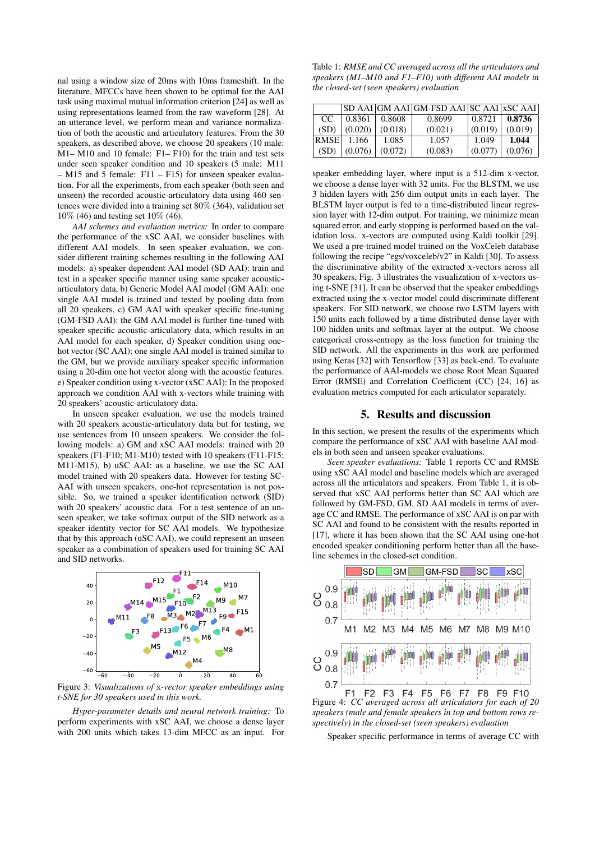nal using a window size of 20ms with 10ms frameshift. In the literature, MFCCs have been shown to be optimal for the AAI task using maximal mutual information criterion [24] as well as using representations learned from the raw waveform [28]. At an utterance level, we perform mean and variance normalization of both the acoustic and articulatory features. From the 30 speakers, as described above, we choose 20 speakers (10 male: M1– M10 and 10 female: F1– F10) for the train and test sets under seen speaker condition and 10 speakers (5 male: M11 – M15 and 5 female: F11 – F15) for unseen speaker evaluation. For all the experiments, from each speaker (both seen and unseen) the recorded acoustic-articulatory data using 460 sentences were divided into a training set 80% (364), validation set 10% (46) and testing set 10% (46).

*AAI schemes and evaluation metrics:* In order to compare the performance of the xSC AAI, we consider baselines with different AAI models. In seen speaker evaluation, we consider different training schemes resulting in the following AAI models: a) speaker dependent AAI model (SD AAI): train and test in a speaker specific manner using same speaker acousticarticulatory data, b) Generic Model AAI model (GM AAI): one single AAI model is trained and tested by pooling data from all 20 speakers, c) GM AAI with speaker specific fine-tuning (GM-FSD AAI): the GM AAI model is further fine-tuned with speaker specific acoustic-articulatory data, which results in an AAI model for each speaker, d) Speaker condition using onehot vector (SC AAI): one single AAI model is trained similar to the GM, but we provide auxiliary speaker specific information using a 20-dim one hot vector along with the acoustic features. e) Speaker condition using x-vector (xSC AAI): In the proposed approach we condition AAI with x-vectors while training with 20 speakers' acoustic-articulatory data.

In unseen speaker evaluation, we use the models trained with 20 speakers acoustic-articulatory data but for testing, we use sentences from 10 unseen speakers. We consider the following models: a) GM and xSC AAI models: trained with 20 speakers (F1-F10; M1-M10) tested with 10 speakers (F11-F15; M11-M15), b) uSC AAI: as a baseline, we use the SC AAI model trained with 20 speakers data. However for testing SC-AAI with unseen speakers, one-hot representation is not possible. So, we trained a speaker identification network (SID) with 20 speakers' acoustic data. For a test sentence of an unseen speaker, we take softmax output of the SID network as a speaker identity vector for SC AAI models. We hypothesize that by this approach (uSC AAI), we could represent an unseen speaker as a combination of speakers used for training SC AAI and SID networks.



Figure 3: *Visualizations of* x*-vector speaker embeddings using t-SNE for 30 speakers used in this work.*

*Hyper-parameter details and neural network training:* To perform experiments with xSC AAI, we choose a dense layer with 200 units which takes 13-dim MFCC as an input. For

Table 1: *RMSE and CC averaged across all the articulators and speakers (M1–M10 and F1–F10) with different AAI models in the closed-set (seen speakers) evaluation*

|             |         |         | SD AAI GM AAI GM-FSD AAI SC AAI xSC AAI |         |         |
|-------------|---------|---------|-----------------------------------------|---------|---------|
| CC.         | 0.8361  | 0.8608  | 0.8699                                  | 0.8721  | 0.8736  |
| (SD)        | (0.020) | (0.018) | (0.021)                                 | (0.019) | (0.019) |
| <b>RMSE</b> | 1.166   | 1.085   | 1.057                                   | 1.049   | 1.044   |
| (SD)        | (0.076) | (0.072) | (0.083)                                 | (0.077) | (0.076) |

speaker embedding layer, where input is a 512-dim x-vector, we choose a dense layer with 32 units. For the BLSTM, we use 3 hidden layers with 256 dim output units in each layer. The BLSTM layer output is fed to a time-distributed linear regression layer with 12-dim output. For training, we minimize mean squared error, and early stopping is performed based on the validation loss. x-vectors are computed using Kaldi toolkit [29]. We used a pre-trained model trained on the VoxCeleb database following the recipe "egs/voxceleb/v2" in Kaldi [30]. To assess the discriminative ability of the extracted x-vectors across all 30 speakers, Fig. 3 illustrates the visualization of x-vectors using t-SNE [31]. It can be observed that the speaker embeddings extracted using the x-vector model could discriminate different speakers. For SID network, we choose two LSTM layers with 150 units each followed by a time distributed dense layer with 100 hidden units and softmax layer at the output. We choose categorical cross-entropy as the loss function for training the SID network. All the experiments in this work are performed using Keras [32] with Tensorflow [33] as back-end. To evaluate the performance of AAI-models we chose Root Mean Squared Error (RMSE) and Correlation Coefficient (CC) [24, 16] as evaluation metrics computed for each articulator separately.

#### 5. Results and discussion

In this section, we present the results of the experiments which compare the performance of xSC AAI with baseline AAI models in both seen and unseen speaker evaluations.

*Seen speaker evaluations:* Table 1 reports CC and RMSE using xSC AAI model and baseline models which are averaged across all the articulators and speakers. From Table 1, it is observed that xSC AAI performs better than SC AAI which are followed by GM-FSD, GM, SD AAI models in terms of average CC and RMSE. The performance of xSC AAI is on par with SC AAI and found to be consistent with the results reported in [17], where it has been shown that the SC AAI using one-hot encoded speaker conditioning perform better than all the baseline schemes in the closed-set condition.



Figure 4: *CC averaged across all articulators for each of 20 speakers (male and female speakers in top and bottom rows respectively) in the closed-set (seen speakers) evaluation*

Speaker specific performance in terms of average CC with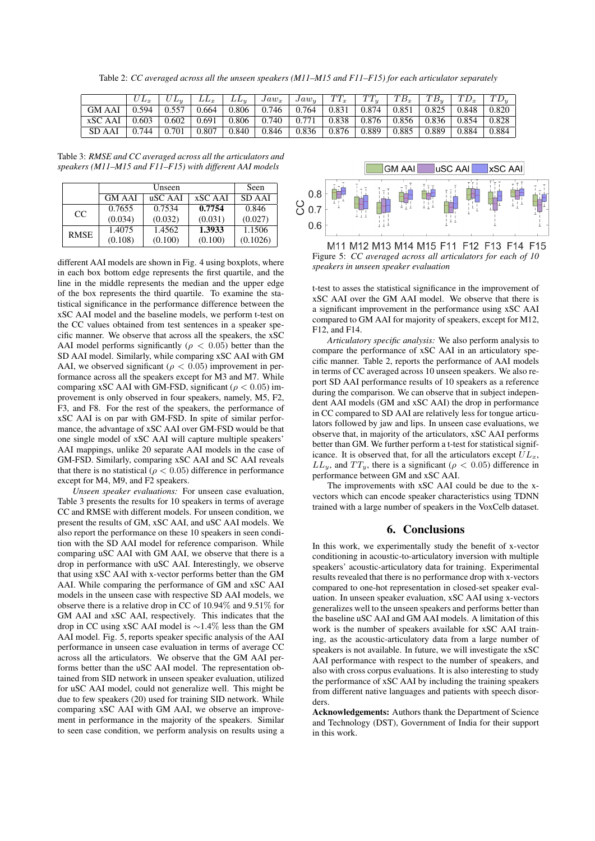Table 2: *CC averaged across all the unseen speakers (M11–M15 and F11–F15) for each articulator separately*

|                     |                   |       | $LL_x$ | $LL_{u}$ | $  \, Jaw_x \,   \, Jaw_y \,   \, TT_x \,  $                                            |                                             | $TT_u$                          | $T B_x$         | $ TB_u TD_x $                               |       | $TTD_u$ |
|---------------------|-------------------|-------|--------|----------|-----------------------------------------------------------------------------------------|---------------------------------------------|---------------------------------|-----------------|---------------------------------------------|-------|---------|
| GM AAI $\mid$ 0.594 |                   | 0.557 | 0.664  |          | $\vert 0.806 \vert 0.746 \vert 0.764 \vert$                                             |                                             | $\vert 0.831 \vert 0.874 \vert$ |                 | $\vert 0.851 \vert 0.825 \vert 0.848 \vert$ |       | 0.820   |
| XSC AAI             | $0.603 \pm 0.602$ |       |        |          | $0.691$   $0.806$   $0.740$   $0.771$   $0.838$   $0.876$   $0.856$   $0.836$   $0.854$ |                                             |                                 |                 |                                             |       | 0.828   |
| SD AAI              | $\mid 0.744$      | 0.701 | 0.807  |          | $0.840 \pm 0.846$                                                                       | $\vert 0.836 \vert 0.876 \vert 0.889 \vert$ |                                 | $0.885$   0.889 |                                             | 0.884 | 0.884   |

Table 3: *RMSE and CC averaged across all the articulators and speakers (M11–M15 and F11–F15) with different AAI models*

|             |               | Seen    |         |          |
|-------------|---------------|---------|---------|----------|
|             | <b>GM AAI</b> | uSC AAI | xSC AAI | SD AAI   |
| CC          | 0.7655        | 0.7534  | 0.7754  | 0.846    |
|             | (0.034)       | (0.032) | (0.031) | (0.027)  |
| <b>RMSE</b> | 1.4075        | 1.4562  | 1.3933  | 1.1506   |
|             | (0.108)       | (0.100) | (0.100) | (0.1026) |

different AAI models are shown in Fig. 4 using boxplots, where in each box bottom edge represents the first quartile, and the line in the middle represents the median and the upper edge of the box represents the third quartile. To examine the statistical significance in the performance difference between the xSC AAI model and the baseline models, we perform t-test on the CC values obtained from test sentences in a speaker specific manner. We observe that across all the speakers, the xSC AAI model performs significantly ( $\rho < 0.05$ ) better than the SD AAI model. Similarly, while comparing xSC AAI with GM AAI, we observed significant ( $\rho < 0.05$ ) improvement in performance across all the speakers except for M3 and M7. While comparing xSC AAI with GM-FSD, significant ( $\rho < 0.05$ ) improvement is only observed in four speakers, namely, M5, F2, F3, and F8. For the rest of the speakers, the performance of xSC AAI is on par with GM-FSD. In spite of similar performance, the advantage of xSC AAI over GM-FSD would be that one single model of xSC AAI will capture multiple speakers' AAI mappings, unlike 20 separate AAI models in the case of GM-FSD. Similarly, comparing xSC AAI and SC AAI reveals that there is no statistical ( $\rho < 0.05$ ) difference in performance except for M4, M9, and F2 speakers.

*Unseen speaker evaluations:* For unseen case evaluation, Table 3 presents the results for 10 speakers in terms of average CC and RMSE with different models. For unseen condition, we present the results of GM, xSC AAI, and uSC AAI models. We also report the performance on these 10 speakers in seen condition with the SD AAI model for reference comparison. While comparing uSC AAI with GM AAI, we observe that there is a drop in performance with uSC AAI. Interestingly, we observe that using xSC AAI with x-vector performs better than the GM AAI. While comparing the performance of GM and xSC AAI models in the unseen case with respective SD AAI models, we observe there is a relative drop in CC of 10.94% and 9.51% for GM AAI and xSC AAI, respectively. This indicates that the drop in CC using xSC AAI model is ∼1.4% less than the GM AAI model. Fig. 5, reports speaker specific analysis of the AAI performance in unseen case evaluation in terms of average CC across all the articulators. We observe that the GM AAI performs better than the uSC AAI model. The representation obtained from SID network in unseen speaker evaluation, utilized for uSC AAI model, could not generalize well. This might be due to few speakers (20) used for training SID network. While comparing xSC AAI with GM AAI, we observe an improvement in performance in the majority of the speakers. Similar to seen case condition, we perform analysis on results using a



M11 M12 M13 M14 M15 F11 F12 F13 F14 F15 Figure 5: *CC averaged across all articulators for each of 10 speakers in unseen speaker evaluation*

t-test to asses the statistical significance in the improvement of xSC AAI over the GM AAI model. We observe that there is a significant improvement in the performance using xSC AAI compared to GM AAI for majority of speakers, except for M12, F12, and F14.

*Articulatory specific analysis:* We also perform analysis to compare the performance of xSC AAI in an articulatory specific manner. Table 2, reports the performance of AAI models in terms of CC averaged across 10 unseen speakers. We also report SD AAI performance results of 10 speakers as a reference during the comparison. We can observe that in subject independent AAI models (GM and xSC AAI) the drop in performance in CC compared to SD AAI are relatively less for tongue articulators followed by jaw and lips. In unseen case evaluations, we observe that, in majority of the articulators, xSC AAI performs better than GM. We further perform a t-test for statistical significance. It is observed that, for all the articulators except  $\overline{UL}_x$ ,  $LL_y$ , and  $TT_y$ , there is a significant ( $\rho < 0.05$ ) difference in performance between GM and xSC AAI.

The improvements with xSC AAI could be due to the xvectors which can encode speaker characteristics using TDNN trained with a large number of speakers in the VoxCelb dataset.

## 6. Conclusions

In this work, we experimentally study the benefit of x-vector conditioning in acoustic-to-articulatory inversion with multiple speakers' acoustic-articulatory data for training. Experimental results revealed that there is no performance drop with x-vectors compared to one-hot representation in closed-set speaker evaluation. In unseen speaker evaluation, xSC AAI using x-vectors generalizes well to the unseen speakers and performs better than the baseline uSC AAI and GM AAI models. A limitation of this work is the number of speakers available for xSC AAI training, as the acoustic-articulatory data from a large number of speakers is not available. In future, we will investigate the xSC AAI performance with respect to the number of speakers, and also with cross corpus evaluations. It is also interesting to study the performance of xSC AAI by including the training speakers from different native languages and patients with speech disorders.

Acknowledgements: Authors thank the Department of Science and Technology (DST), Government of India for their support in this work.